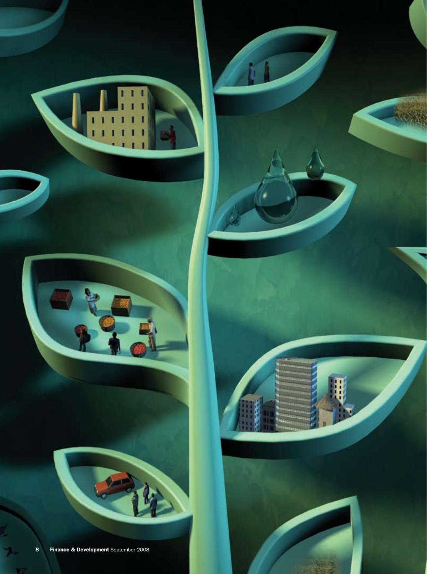

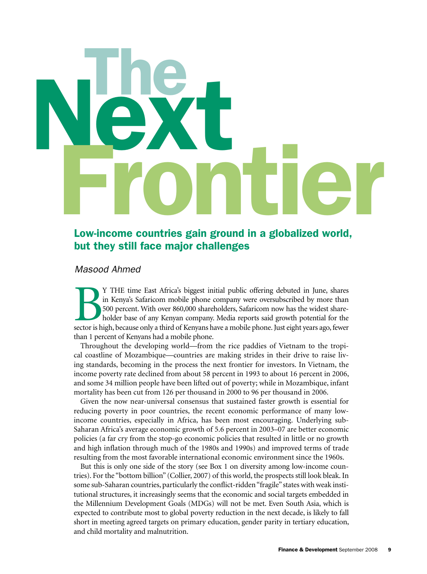# Next Low-income countries gain ground in a globalized world. The

# Low-income countries gain ground in a globalized world, but they still face major challenges

*Masood Ahmed*

If THE time East Africa's biggest initial public offering debuted in June, shares<br>in Kenya's Safaricom mobile phone company were oversubscribed by more than<br>500 percent. With over 860,000 shareholders, Safaricom now has th in Kenya's Safaricom mobile phone company were oversubscribed by more than 500 percent. With over 860,000 shareholders, Safaricom now has the widest shareholder base of any Kenyan company. Media reports said growth potential for the than 1 percent of Kenyans had a mobile phone.

Throughout the developing world—from the rice paddies of Vietnam to the tropical coastline of Mozambique—countries are making strides in their drive to raise living standards, becoming in the process the next frontier for investors. In Vietnam, the income poverty rate declined from about 58 percent in 1993 to about 16 percent in 2006, and some 34 million people have been lifted out of poverty; while in Mozambique, infant mortality has been cut from 126 per thousand in 2000 to 96 per thousand in 2006.

Given the now near-universal consensus that sustained faster growth is essential for reducing poverty in poor countries, the recent economic performance of many lowincome countries, especially in Africa, has been most encouraging. Underlying sub-Saharan Africa's average economic growth of 5.6 percent in 2003–07 are better economic policies (a far cry from the stop-go economic policies that resulted in little or no growth and high inflation through much of the 1980s and 1990s) and improved terms of trade resulting from the most favorable international economic environment since the 1960s.

But this is only one side of the story (see Box 1 on diversity among low-income countries). For the "bottom billion" (Collier, 2007) of this world, the prospects still look bleak. In some sub-Saharan countries, particularly the conflict-ridden "fragile" states with weak institutional structures, it increasingly seems that the economic and social targets embedded in the Millennium Development Goals (MDGs) will not be met. Even South Asia, which is expected to contribute most to global poverty reduction in the next decade, is likely to fall short in meeting agreed targets on primary education, gender parity in tertiary education, and child mortality and malnutrition.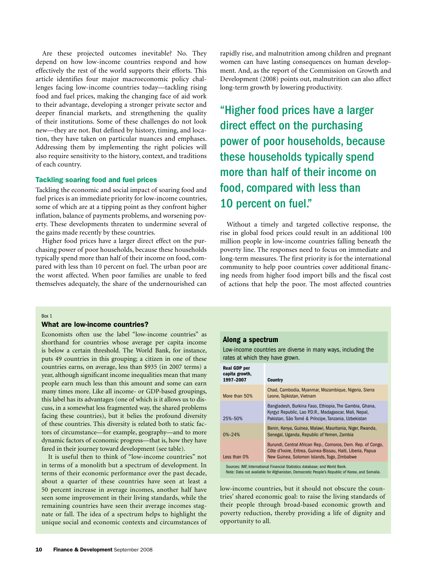Are these projected outcomes inevitable? No. They depend on how low-income countries respond and how effectively the rest of the world supports their efforts. This article identifies four major macroeconomic policy challenges facing low-income countries today—tackling rising food and fuel prices, making the changing face of aid work to their advantage, developing a stronger private sector and deeper financial markets, and strengthening the quality of their institutions. Some of these challenges do not look new—they are not. But defined by history, timing, and location, they have taken on particular nuances and emphases. Addressing them by implementing the right policies will also require sensitivity to the history, context, and traditions of each country.

### Tackling soaring food and fuel prices

Tackling the economic and social impact of soaring food and fuel prices is an immediate priority for low-income countries, some of which are at a tipping point as they confront higher inflation, balance of payments problems, and worsening poverty. These developments threaten to undermine several of the gains made recently by these countries.

Higher food prices have a larger direct effect on the purchasing power of poor households, because these households typically spend more than half of their income on food, compared with less than 10 percent on fuel. The urban poor are the worst affected. When poor families are unable to feed themselves adequately, the share of the undernourished can

rapidly rise, and malnutrition among children and pregnant women can have lasting consequences on human development. And, as the report of the Commission on Growth and Development (2008) points out, malnutrition can also affect long-term growth by lowering productivity.

"Higher food prices have a larger direct effect on the purchasing power of poor households, because these households typically spend more than half of their income on food, compared with less than 10 percent on fuel."

Without a timely and targeted collective response, the rise in global food prices could result in an additional 100 million people in low-income countries falling beneath the poverty line. The responses need to focus on immediate and long-term measures. The first priority is for the international community to help poor countries cover additional financing needs from higher food import bills and the fiscal cost of actions that help the poor. The most affected countries

### Box 1

## What are low-income countries?

Economists often use the label "low-income countries" as shorthand for countries whose average per capita income is below a certain threshold. The World Bank, for instance, puts 49 countries in this grouping; a citizen in one of these countries earns, on average, less than \$935 (in 2007 terms) a year, although significant income inequalities mean that many people earn much less than this amount and some can earn many times more. Like all income- or GDP-based groupings, this label has its advantages (one of which is it allows us to discuss, in a somewhat less fragmented way, the shared problems facing these countries), but it belies the profound diversity of these countries. This diversity is related both to static factors of circumstance—for example, geography—and to more dynamic factors of economic progress—that is, how they have fared in their journey toward development (see table).

It is useful then to think of "low-income countries" not in terms of a monolith but a spectrum of development. In terms of their economic performance over the past decade, about a quarter of these countries have seen at least a 50 percent increase in average incomes, another half have seen some improvement in their living standards, while the remaining countries have seen their average incomes stagnate or fall. The idea of a spectrum helps to highlight the unique social and economic contexts and circumstances of

### Along a spectrum

Low-income countries are diverse in many ways, including the rates at which they have grown.

| <b>Real GDP per</b><br>capita growth,<br>1997-2007 | <b>Country</b>                                                                                                                                                             |
|----------------------------------------------------|----------------------------------------------------------------------------------------------------------------------------------------------------------------------------|
| More than 50%                                      | Chad, Cambodia, Myanmar, Mozambique, Nigeria, Sierra<br>Leone, Tajikistan, Vietnam                                                                                         |
| 25%-50%                                            | Bangladesh, Burkina Faso, Ethiopia, The Gambia, Ghana,<br>Kyrgyz Republic, Lao P.D.R., Madagascar, Mali, Nepal,<br>Pakistan, São Tomé & Príncipe, Tanzania, Uzbekistan     |
| $0% - 24%$                                         | Benin, Kenya, Guinea, Malawi, Mauritania, Niger, Rwanda,<br>Senegal, Uganda, Republic of Yemen, Zambia                                                                     |
| Less than 0%                                       | Burundi, Central African Rep., Comoros, Dem. Rep. of Congo.<br>Côte d'Ivoire, Eritrea, Guinea-Bissau, Haiti, Liberia, Papua<br>New Guinea, Solomon Islands, Togo, Zimbabwe |
|                                                    |                                                                                                                                                                            |

Sources: IMF, International Financial Statistics database; and World Bank. Note: Data not available for Afghanistan, Democratic People's Republic of Korea, and Somalia.

low-income countries, but it should not obscure the countries' shared economic goal: to raise the living standards of their people through broad-based economic growth and poverty reduction, thereby providing a life of dignity and opportunity to all.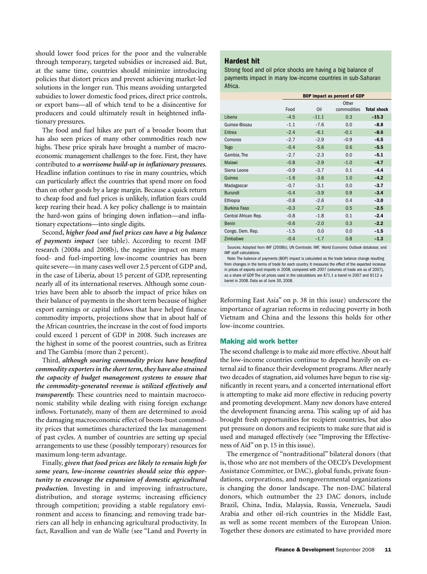should lower food prices for the poor and the vulnerable through temporary, targeted subsidies or increased aid. But, at the same time, countries should minimize introducing policies that distort prices and prevent achieving market-led solutions in the longer run. This means avoiding untargeted subsidies to lower domestic food prices, direct price controls, or export bans—all of which tend to be a disincentive for producers and could ultimately result in heightened inflationary pressures.

The food and fuel hikes are part of a broader boom that has also seen prices of many other commodities reach new highs. These price spirals have brought a number of macroeconomic management challenges to the fore. First, they have contributed to *a worrisome build-up in inflationary pressures.* Headline inflation continues to rise in many countries, which can particularly affect the countries that spend more on food than on other goods by a large margin. Because a quick return to cheap food and fuel prices is unlikely, inflation fears could keep rearing their head. A key policy challenge is to maintain the hard-won gains of bringing down inflation—and inflationary expectations—into single digits.

Second, *higher food and fuel prices can have a big balance of payments impact* (see table). According to recent IMF research (2008a and 2008b), the negative impact on many food- and fuel-importing low-income countries has been quite severe—in many cases well over 2.5 percent of GDP and, in the case of Liberia, about 15 percent of GDP, representing nearly all of its international reserves. Although some countries have been able to absorb the impact of price hikes on their balance of payments in the short term because of higher export earnings or capital inflows that have helped finance commodity imports, projections show that in about half of the African countries, the increase in the cost of food imports could exceed 1 percent of GDP in 2008. Such increases are the highest in some of the poorest countries, such as Eritrea and The Gambia (more than 2 percent).

Third, *although soaring commodity prices have benefited commodity exporters in the short term, they have also strained the capacity of budget management systems to ensure that the commodity-generated revenue is utilized effectively and transparently.* These countries need to maintain macroeconomic stability while dealing with rising foreign exchange inflows. Fortunately, many of them are determined to avoid the damaging macroeconomic effect of boom-bust commodity prices that sometimes characterized the lax management of past cycles. A number of countries are setting up special arrangements to use these (possibly temporary) resources for maximum long-term advantage.

Finally, *given that food prices are likely to remain high for some years, low-income countries should seize this opportunity to encourage the expansion of domestic agricultural production.* Investing in and improving infrastructure, distribution, and storage systems; increasing efficiency through competition; providing a stable regulatory environment and access to financing; and removing trade barriers can all help in enhancing agricultural productivity. In fact, Ravallion and van de Walle (see "Land and Poverty in

# Hardest hit

Strong food and oil price shocks are having a big balance of payments impact in many low-income countries in sub-Saharan Africa.

|                      |        | <b>BOP impact as percent of GDP</b> |             |                    |  |
|----------------------|--------|-------------------------------------|-------------|--------------------|--|
|                      |        |                                     | Other       |                    |  |
|                      | Food   | Oil                                 | commodities | <b>Total shock</b> |  |
| Liberia              | $-4.5$ | $-11.1$                             | 0.3         | $-15.3$            |  |
| Guinea-Bissau        | $-1.1$ | $-7.6$                              | 0.0         | $-8.8$             |  |
| Eritrea              | $-2.4$ | $-6.1$                              | $-0.1$      | $-8.6$             |  |
| Comoros              | $-2.7$ | $-2.9$                              | $-0.9$      | $-6.5$             |  |
| Togo                 | $-0.4$ | $-5.6$                              | 0.6         | $-5.5$             |  |
| Gambia, The          | $-2.7$ | $-2.3$                              | 0.0         | $-5.1$             |  |
| <b>Malawi</b>        | $-0.8$ | $-2.9$                              | $-1.0$      | $-4.7$             |  |
| Sierra Leone         | $-0.9$ | $-3.7$                              | 0.1         | $-4.4$             |  |
| Guinea               | $-1.6$ | $-3.6$                              | 1.0         | $-4.2$             |  |
| Madagascar           | $-0.7$ | $-3.1$                              | 0.0         | $-3.7$             |  |
| <b>Burundi</b>       | $-0.4$ | $-3.9$                              | 0.9         | $-3.4$             |  |
| Ethiopia             | $-0.8$ | $-2.6$                              | 0.4         | $-3.0$             |  |
| <b>Burkina Faso</b>  | $-0.3$ | $-2.7$                              | 0.5         | $-2.5$             |  |
| Central African Rep. | $-0.8$ | $-1.8$                              | 0.1         | $-2.4$             |  |
| <b>Benin</b>         | $-0.6$ | $-2.0$                              | 0.3         | $-2.2$             |  |
| Congo, Dem. Rep.     | $-1.5$ | 0.0                                 | 0.0         | $-1.5$             |  |
| Zimbabwe             | $-0.4$ | $-1.7$                              | 0.8         | $-1.3$             |  |

Sources: Adapted from IMF (2008b); UN Comtrade; IMF, World Economic Outlook database; and IMF staff calculations.

Note: The balance of payments (BOP) impact is calculated as the trade balance change resulting from changes in the terms of trade for each country. It measures the effect of the expected increase in prices of exports and imports in 2008, compared with 2007 (volumes of trade are as of 2007), as a share of GDP. The oil prices used in the calculations are \$71.1 a barrel in 2007 and \$112 a barrel in 2008. Data as of June 30, 2008.

Reforming East Asia" on p. 38 in this issue) underscore the importance of agrarian reforms in reducing poverty in both Vietnam and China and the lessons this holds for other low-income countries.

### Making aid work better

The second challenge is to make aid more effective. About half the low-income countries continue to depend heavily on external aid to finance their development programs. After nearly two decades of stagnation, aid volumes have begun to rise significantly in recent years, and a concerted international effort is attempting to make aid more effective in reducing poverty and promoting development. Many new donors have entered the development financing arena. This scaling up of aid has brought fresh opportunities for recipient countries, but also put pressure on donors and recipients to make sure that aid is used and managed effectively (see "Improving the Effectiveness of Aid" on p. 15 in this issue).

The emergence of "nontraditional" bilateral donors (that is, those who are not members of the OECD's Development Assistance Committee, or DAC), global funds, private foundations, corporations, and nongovernmental organizations is changing the donor landscape. The non-DAC bilateral donors, which outnumber the 23 DAC donors, include Brazil, China, India, Malaysia, Russia, Venezuela, Saudi Arabia and other oil-rich countries in the Middle East, as well as some recent members of the European Union. Together these donors are estimated to have provided more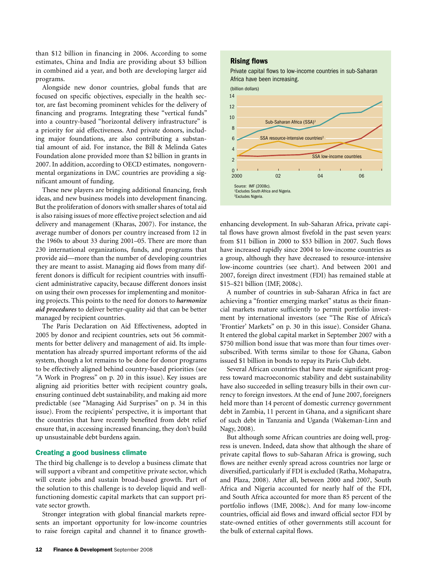than \$12 billion in financing in 2006. According to some estimates, China and India are providing about \$3 billion in combined aid a year, and both are developing larger aid programs.

Alongside new donor countries, global funds that are focused on specific objectives, especially in the health sector, are fast becoming prominent vehicles for the delivery of financing and programs. Integrating these "vertical funds" into a country-based "horizontal delivery infrastructure" is a priority for aid effectiveness. And private donors, including major foundations, are also contributing a substantial amount of aid. For instance, the Bill & Melinda Gates Foundation alone provided more than \$2 billion in grants in 2007. In addition, according to OECD estimates, nongovernmental organizations in DAC countries are providing a significant amount of funding.

These new players are bringing additional financing, fresh ideas, and new business models into development financing. But the proliferation of donors with smaller shares of total aid is also raising issues of more effective project selection and aid delivery and management (Kharas, 2007). For instance, the average number of donors per country increased from 12 in the 1960s to about 33 during 2001–05. There are more than 230 international organizations, funds, and programs that provide aid—more than the number of developing countries they are meant to assist. Managing aid flows from many different donors is difficult for recipient countries with insufficient administrative capacity, because different donors insist on using their own processes for implementing and monitoring projects. This points to the need for donors to *harmonize aid procedures* to deliver better-quality aid that can be better managed by recipient countries.

The Paris Declaration on Aid Effectiveness, adopted in 2005 by donor and recipient countries, sets out 56 commitments for better delivery and management of aid. Its implementation has already spurred important reforms of the aid system, though a lot remains to be done for donor programs to be effectively aligned behind country-based priorities (see "A Work in Progress" on p. 20 in this issue). Key issues are aligning aid priorities better with recipient country goals, ensuring continued debt sustainability, and making aid more predictable (see "Managing Aid Surprises" on p. 34 in this issue). From the recipients' perspective, it is important that the countries that have recently benefited from debt relief ensure that, in accessing increased financing, they don't build up unsustainable debt burdens again.

### Creating a good business climate

The third big challenge is to develop a business climate that will support a vibrant and competitive private sector, which will create jobs and sustain broad-based growth. Part of the solution to this challenge is to develop liquid and wellfunctioning domestic capital markets that can support private sector growth.

Stronger integration with global financial markets represents an important opportunity for low-income countries to raise foreign capital and channel it to finance growth-

### Rising flows

Private capital flows to low-income countries in sub-Saharan Africa have been increasing.



enhancing development. In sub-Saharan Africa, private capital flows have grown almost fivefold in the past seven years: from \$11 billion in 2000 to \$53 billion in 2007. Such flows have increased rapidly since 2004 to low-income countries as a group, although they have decreased to resource-intensive low-income countries (see chart). And between 2001 and 2007, foreign direct investment (FDI) has remained stable at \$15–\$21 billion (IMF, 2008c).

A number of countries in sub-Saharan Africa in fact are achieving a "frontier emerging market" status as their financial markets mature sufficiently to permit portfolio investment by international investors (see "The Rise of Africa's 'Frontier' Markets" on p. 30 in this issue). Consider Ghana. It entered the global capital market in September 2007 with a \$750 million bond issue that was more than four times oversubscribed. With terms similar to those for Ghana, Gabon issued \$1 billion in bonds to repay its Paris Club debt.

Several African countries that have made significant progress toward macroeconomic stability and debt sustainability have also succeeded in selling treasury bills in their own currency to foreign investors. At the end of June 2007, foreigners held more than 14 percent of domestic currency government debt in Zambia, 11 percent in Ghana, and a significant share of such debt in Tanzania and Uganda (Wakeman-Linn and Nagy, 2008).

But although some African countries are doing well, progress is uneven. Indeed, data show that although the share of private capital flows to sub-Saharan Africa is growing, such flows are neither evenly spread across countries nor large or diversified, particularly if FDI is excluded (Ratha, Mohapatra, and Plaza, 2008). After all, between 2000 and 2007, South Africa and Nigeria accounted for nearly half of the FDI, and South Africa accounted for more than 85 percent of the portfolio inflows (IMF, 2008c). And for many low-income countries, official aid flows and inward official sector FDI by state-owned entities of other governments still account for the bulk of external capital flows.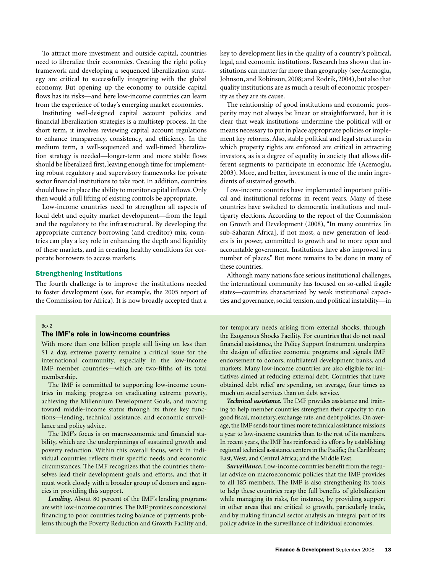To attract more investment and outside capital, countries need to liberalize their economies. Creating the right policy framework and developing a sequenced liberalization strategy are critical to successfully integrating with the global economy. But opening up the economy to outside capital flows has its risks—and here low-income countries can learn from the experience of today's emerging market economies.

Instituting well-designed capital account policies and financial liberalization strategies is a multistep process. In the short term, it involves reviewing capital account regulations to enhance transparency, consistency, and efficiency. In the medium term, a well-sequenced and well-timed liberalization strategy is needed—longer-term and more stable flows should be liberalized first, leaving enough time for implementing robust regulatory and supervisory frameworks for private sector financial institutions to take root. In addition, countries should have in place the ability to monitor capital inflows. Only then would a full lifting of existing controls be appropriate.

Low-income countries need to strengthen all aspects of local debt and equity market development—from the legal and the regulatory to the infrastructural. By developing the appropriate currency borrowing (and creditor) mix, countries can play a key role in enhancing the depth and liquidity of these markets, and in creating healthy conditions for corporate borrowers to access markets.

### Strengthening institutions

The fourth challenge is to improve the institutions needed to foster development (see, for example, the 2005 report of the Commission for Africa). It is now broadly accepted that a

### Box 2

### The IMF's role in low-income countries

With more than one billion people still living on less than \$1 a day, extreme poverty remains a critical issue for the international community, especially in the low-income IMF member countries—which are two-fifths of its total membership.

The IMF is committed to supporting low-income countries in making progress on eradicating extreme poverty, achieving the Millennium Development Goals, and moving toward middle-income status through its three key functions—lending, technical assistance, and economic surveillance and policy advice.

The IMF's focus is on macroeconomic and financial stability, which are the underpinnings of sustained growth and poverty reduction. Within this overall focus, work in individual countries reflects their specific needs and economic circumstances. The IMF recognizes that the countries themselves lead their development goals and efforts, and that it must work closely with a broader group of donors and agencies in providing this support.

*Lending.* About 80 percent of the IMF's lending programs are with low-income countries. The IMF provides concessional financing to poor countries facing balance of payments problems through the Poverty Reduction and Growth Facility and, key to development lies in the quality of a country's political, legal, and economic institutions. Research has shown that institutions can matter far more than geography (see Acemoglu, Johnson, and Robinson, 2008; and Rodrik, 2004), but also that quality institutions are as much a result of economic prosperity as they are its cause.

The relationship of good institutions and economic prosperity may not always be linear or straightforward, but it is clear that weak institutions undermine the political will or means necessary to put in place appropriate policies or implement key reforms. Also, stable political and legal structures in which property rights are enforced are critical in attracting investors, as is a degree of equality in society that allows different segments to participate in economic life (Acemoglu, 2003). More, and better, investment is one of the main ingredients of sustained growth.

Low-income countries have implemented important political and institutional reforms in recent years. Many of these countries have switched to democratic institutions and multiparty elections. According to the report of the Commission on Growth and Development (2008), "In many countries [in sub-Saharan Africa], if not most, a new generation of leaders is in power, committed to growth and to more open and accountable government. Institutions have also improved in a number of places." But more remains to be done in many of these countries.

Although many nations face serious institutional challenges, the international community has focused on so-called fragile states—countries characterized by weak institutional capacities and governance, social tension, and political instability—in

for temporary needs arising from external shocks, through the Exogenous Shocks Facility. For countries that do not need financial assistance, the Policy Support Instrument underpins the design of effective economic programs and signals IMF endorsement to donors, multilateral development banks, and markets. Many low-income countries are also eligible for initiatives aimed at reducing external debt. Countries that have obtained debt relief are spending, on average, four times as much on social services than on debt service.

*Technical assistance.* The IMF provides assistance and training to help member countries strengthen their capacity to run good fiscal, monetary, exchange rate, and debt policies. On average, the IMF sends four times more technical assistance missions a year to low-income countries than to the rest of its members. In recent years, the IMF has reinforced its efforts by establishing regional technical assistance centers in the Pacific; the Caribbean; East, West, and Central Africa; and the Middle East.

*Surveillance.* Low-income countries benefit from the regular advice on macroeconomic policies that the IMF provides to all 185 members. The IMF is also strengthening its tools to help these countries reap the full benefits of globalization while managing its risks, for instance, by providing support in other areas that are critical to growth, particularly trade, and by making financial sector analysis an integral part of its policy advice in the surveillance of individual economies.